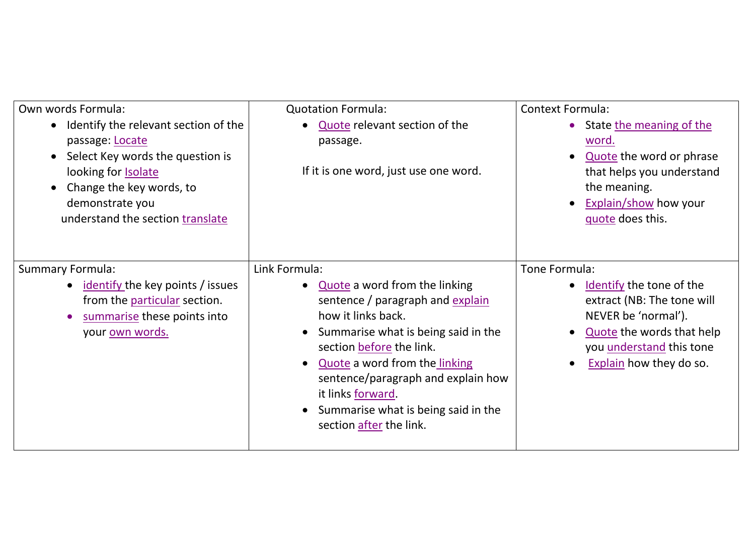| Own words Formula:                                                                                                                                                                                                        | <b>Quotation Formula:</b>                                                                                                                                                                                                                                                                                                                 | <b>Context Formula:</b>                                                                                                                                                                   |
|---------------------------------------------------------------------------------------------------------------------------------------------------------------------------------------------------------------------------|-------------------------------------------------------------------------------------------------------------------------------------------------------------------------------------------------------------------------------------------------------------------------------------------------------------------------------------------|-------------------------------------------------------------------------------------------------------------------------------------------------------------------------------------------|
| Identify the relevant section of the<br>$\bullet$<br>passage: Locate<br>Select Key words the question is<br>looking for <b>Isolate</b><br>Change the key words, to<br>demonstrate you<br>understand the section translate | Quote relevant section of the<br>passage.<br>If it is one word, just use one word.                                                                                                                                                                                                                                                        | • State the meaning of the<br>word.<br>Quote the word or phrase<br>that helps you understand<br>the meaning.<br><b>Explain/show how your</b><br>guote does this.                          |
| <b>Summary Formula:</b><br>• identify the key points / issues<br>from the particular section.<br>summarise these points into<br>your <u>own words.</u>                                                                    | Link Formula:<br>Quote a word from the linking<br>sentence / paragraph and explain<br>how it links back.<br>Summarise what is being said in the<br>section before the link.<br>Quote a word from the linking<br>sentence/paragraph and explain how<br>it links forward.<br>Summarise what is being said in the<br>section after the link. | Tone Formula:<br>Identify the tone of the<br>extract (NB: The tone will<br>NEVER be 'normal').<br>Quote the words that help<br>you <i>understand</i> this tone<br>Explain how they do so. |